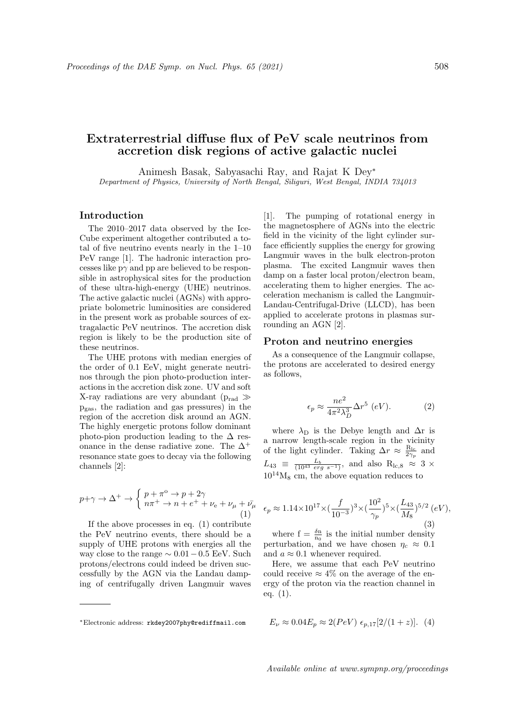# Extraterrestrial diffuse flux of PeV scale neutrinos from accretion disk regions of active galactic nuclei

Animesh Basak, Sabyasachi Ray, and Rajat K Dey<sup>∗</sup> Department of Physics, University of North Bengal, Siliguri, West Bengal, INDIA 734013

# Introduction

The 2010–2017 data observed by the Ice-Cube experiment altogether contributed a total of five neutrino events nearly in the 1–10 PeV range [1]. The hadronic interaction processes like  $p\gamma$  and pp are believed to be responsible in astrophysical sites for the production of these ultra-high-energy (UHE) neutrinos. The active galactic nuclei (AGNs) with appropriate bolometric luminosities are considered in the present work as probable sources of extragalactic PeV neutrinos. The accretion disk region is likely to be the production site of these neutrinos.

The UHE protons with median energies of the order of 0.1 EeV, might generate neutrinos through the pion photo-production interactions in the accretion disk zone. UV and soft X-ray radiations are very abundant ( $p_{rad} \gg$ pgas, the radiation and gas pressures) in the region of the accretion disk around an AGN. The highly energetic protons follow dominant photo-pion production leading to the  $\Delta$  resonance in the dense radiative zone. The  $\Delta^+$ resonance state goes to decay via the following channels [2]:

$$
p+\gamma \to \Delta^+ \to \begin{cases} p+\pi^{\circ} \to p+2\gamma \\ n\pi^+ \to n+e^+ + \nu_e + \nu_{\mu} + \bar{\nu}_{\mu} \end{cases}
$$
 (1)

If the above processes in eq. (1) contribute the PeV neutrino events, there should be a supply of UHE protons with energies all the way close to the range  $\sim 0.01-0.5$  EeV. Such protons/electrons could indeed be driven successfully by the AGN via the Landau damping of centrifugally driven Langmuir waves

[1]. The pumping of rotational energy in the magnetosphere of AGNs into the electric field in the vicinity of the light cylinder surface efficiently supplies the energy for growing Langmuir waves in the bulk electron-proton plasma. The excited Langmuir waves then damp on a faster local proton/electron beam, accelerating them to higher energies. The acceleration mechanism is called the Langmuir-Landau-Centrifugal-Drive (LLCD), has been applied to accelerate protons in plasmas surrounding an AGN [2].

#### Proton and neutrino energies

As a consequence of the Langmuir collapse, the protons are accelerated to desired energy as follows,

$$
\epsilon_p \approx \frac{ne^2}{4\pi^2\lambda_D^3} \Delta r^5 \ (eV). \tag{2}
$$

where  $\lambda_D$  is the Debye length and  $\Delta r$  is a narrow length-scale region in the vicinity of the light cylinder. Taking  $\Delta r \approx \frac{\rm R_{lc}}{2\gamma_p}$  and  $L_{43} \equiv \frac{L_b}{(10^{43} \text{ erg s}^{-1})}$ , and also  $R_{lc,8} \approx 3 \times$  $10^{14} \textrm{M}_8$  cm, the above equation reduces to

$$
\epsilon_p \approx 1.14 \times 10^{17} \times \left(\frac{f}{10^{-3}}\right)^3 \times \left(\frac{10^2}{\gamma_p}\right)^5 \times \left(\frac{L_{43}}{M_8}\right)^{5/2} (eV),\tag{3}
$$

where  $f = \frac{\delta n}{n_0}$  is the initial number density perturbation, and we have chosen  $\eta_c \approx 0.1$ and  $a \approx 0.1$  whenever required.

Here, we assume that each PeV neutrino could receive  $\approx 4\%$  on the average of the energy of the proton via the reaction channel in eq. (1).

$$
E_{\nu} \approx 0.04 E_p \approx 2(PeV) \epsilon_{p,17} [2/(1+z)]. \tag{4}
$$

<sup>∗</sup>Electronic address: rkdey2007phy@rediffmail.com